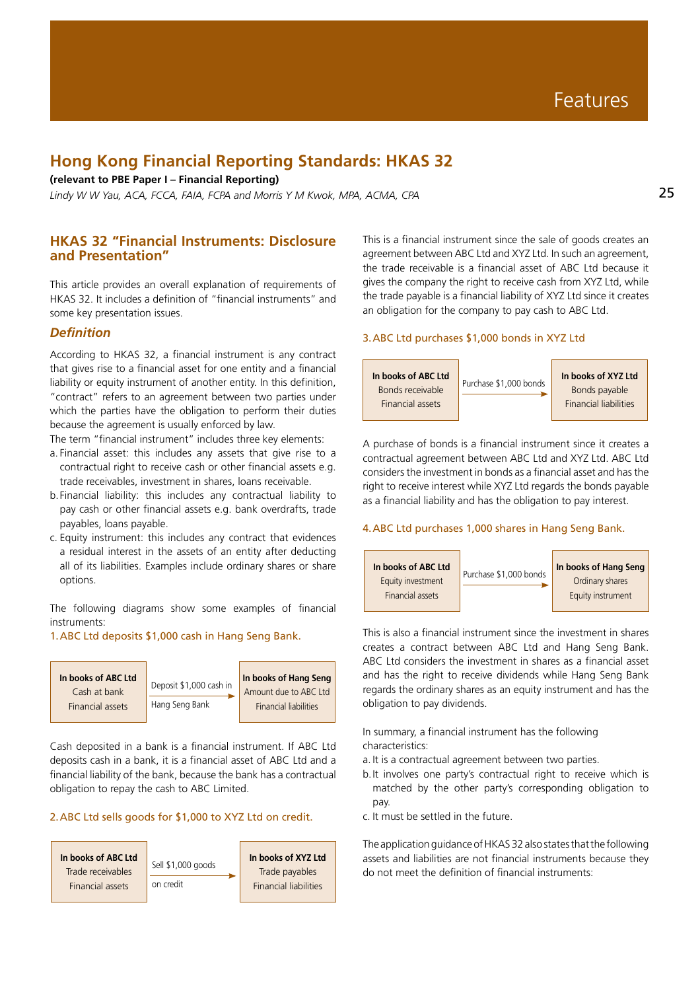# **Hong Kong Financial Reporting Standards: HKAS 32**

**(relevant to PBE Paper I – Financial Reporting)**

*Lindy W W Yau, ACA, FCCA, FAIA, FCPA and Morris Y M Kwok, MPA, ACMA, CPA*

# **HKAS 32 "Financial Instruments: Disclosure and Presentation"**

This article provides an overall explanation of requirements of HKAS 32. It includes a definition of "financial instruments" and some key presentation issues.

# *Definition*

According to HKAS 32, a financial instrument is any contract that gives rise to a financial asset for one entity and a financial liability or equity instrument of another entity. In this definition, "contract" refers to an agreement between two parties under which the parties have the obligation to perform their duties because the agreement is usually enforced by law.

The term "financial instrument" includes three key elements:

- a. Financial asset: this includes any assets that give rise to a contractual right to receive cash or other financial assets e.g. trade receivables, investment in shares, loans receivable.
- b.Financial liability: this includes any contractual liability to pay cash or other financial assets e.g. bank overdrafts, trade payables, loans payable.
- c. Equity instrument: this includes any contract that evidences a residual interest in the assets of an entity after deducting all of its liabilities. Examples include ordinary shares or share options.

The following diagrams show some examples of financial instruments:

# 1.ABC Ltd deposits \$1,000 cash in Hang Seng Bank.



Cash deposited in a bank is a financial instrument. If ABC Ltd deposits cash in a bank, it is a financial asset of ABC Ltd and a financial liability of the bank, because the bank has a contractual obligation to repay the cash to ABC Limited.

# 2.ABC Ltd sells goods for \$1,000 to XYZ Ltd on credit.



This is a financial instrument since the sale of goods creates an agreement between ABC Ltd and XYZ Ltd. In such an agreement, the trade receivable is a financial asset of ABC Ltd because it gives the company the right to receive cash from XYZ Ltd, while the trade payable is a financial liability of XYZ Ltd since it creates an obligation for the company to pay cash to ABC Ltd.

#### 3.ABC Ltd purchases \$1,000 bonds in XYZ Ltd



A purchase of bonds is a financial instrument since it creates a contractual agreement between ABC Ltd and XYZ Ltd. ABC Ltd considers the investment in bonds as a financial asset and has the right to receive interest while XYZ Ltd regards the bonds payable as a financial liability and has the obligation to pay interest.

### 4.ABC Ltd purchases 1,000 shares in Hang Seng Bank.



This is also a financial instrument since the investment in shares creates a contract between ABC Ltd and Hang Seng Bank. ABC Ltd considers the investment in shares as a financial asset and has the right to receive dividends while Hang Seng Bank regards the ordinary shares as an equity instrument and has the obligation to pay dividends.

In summary, a financial instrument has the following characteristics:

- a. It is a contractual agreement between two parties.
- b.It involves one party's contractual right to receive which is matched by the other party's corresponding obligation to pay.
- c. It must be settled in the future.

The application guidance of HKAS 32 also states that the following assets and liabilities are not financial instruments because they do not meet the definition of financial instruments: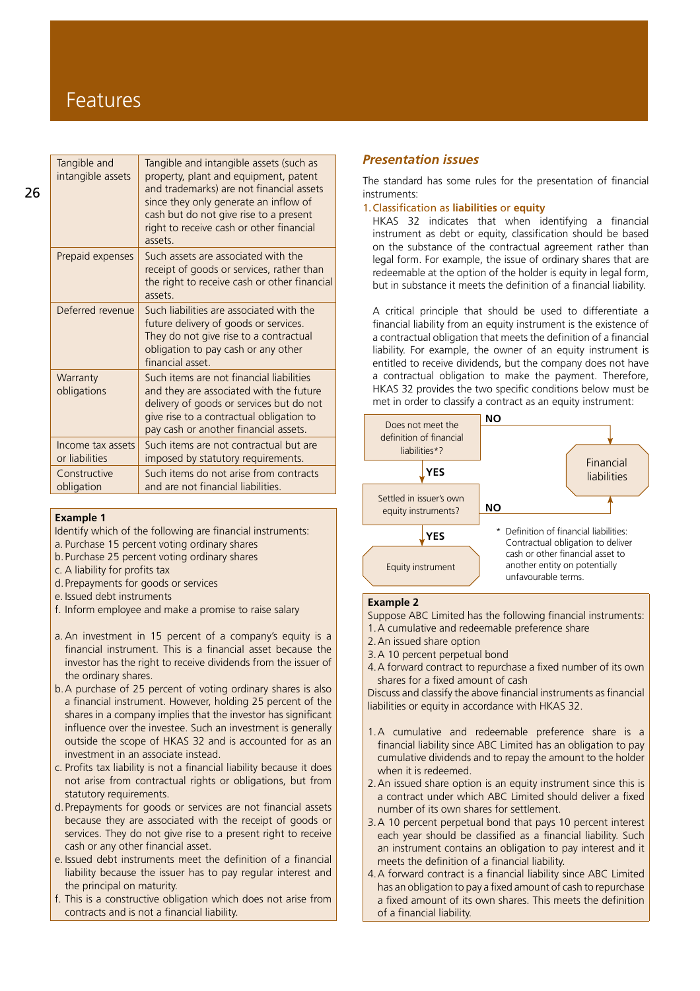# Features

| Tangible and intangible assets (such as<br>property, plant and equipment, patent<br>and trademarks) are not financial assets<br>since they only generate an inflow of<br>cash but do not give rise to a present<br>right to receive cash or other financial<br>assets. |
|------------------------------------------------------------------------------------------------------------------------------------------------------------------------------------------------------------------------------------------------------------------------|
| Such assets are associated with the<br>receipt of goods or services, rather than<br>the right to receive cash or other financial<br>assets.                                                                                                                            |
| Such liabilities are associated with the<br>future delivery of goods or services.<br>They do not give rise to a contractual<br>obligation to pay cash or any other<br>financial asset.                                                                                 |
| Such items are not financial liabilities<br>and they are associated with the future<br>delivery of goods or services but do not<br>give rise to a contractual obligation to<br>pay cash or another financial assets.                                                   |
| Such items are not contractual but are<br>imposed by statutory requirements.                                                                                                                                                                                           |
| Such items do not arise from contracts<br>and are not financial liabilities.                                                                                                                                                                                           |
|                                                                                                                                                                                                                                                                        |

#### **Example 1**

Identify which of the following are financial instruments:

- a. Purchase 15 percent voting ordinary shares
- b.Purchase 25 percent voting ordinary shares
- c. A liability for profits tax
- d.Prepayments for goods or services
- e. Issued debt instruments
- f. Inform employee and make a promise to raise salary
- a. An investment in 15 percent of a company's equity is a financial instrument. This is a financial asset because the investor has the right to receive dividends from the issuer of the ordinary shares.
- b.A purchase of 25 percent of voting ordinary shares is also a financial instrument. However, holding 25 percent of the shares in a company implies that the investor has significant influence over the investee. Such an investment is generally outside the scope of HKAS 32 and is accounted for as an investment in an associate instead.
- c. Profits tax liability is not a financial liability because it does not arise from contractual rights or obligations, but from statutory requirements.
- d.Prepayments for goods or services are not financial assets because they are associated with the receipt of goods or services. They do not give rise to a present right to receive cash or any other financial asset.
- e. Issued debt instruments meet the definition of a financial liability because the issuer has to pay regular interest and the principal on maturity.
- f. This is a constructive obligation which does not arise from contracts and is not a financial liability.

# *Presentation issues*

The standard has some rules for the presentation of financial instruments:

1.Classification as **liabilities** or **equity**

HKAS 32 indicates that when identifying a financial instrument as debt or equity, classification should be based on the substance of the contractual agreement rather than legal form. For example, the issue of ordinary shares that are redeemable at the option of the holder is equity in legal form, but in substance it meets the definition of a financial liability.

A critical principle that should be used to differentiate a financial liability from an equity instrument is the existence of a contractual obligation that meets the definition of a financial liability. For example, the owner of an equity instrument is entitled to receive dividends, but the company does not have a contractual obligation to make the payment. Therefore, HKAS 32 provides the two specific conditions below must be met in order to classify a contract as an equity instrument:



### **Example 2**

- Suppose ABC Limited has the following financial instruments:
- 1.A cumulative and redeemable preference share
- 2.An issued share option
- 3.A 10 percent perpetual bond
- 4.A forward contract to repurchase a fixed number of its own shares for a fixed amount of cash

Discuss and classify the above financial instruments as financial liabilities or equity in accordance with HKAS 32.

- 1.A cumulative and redeemable preference share is a financial liability since ABC Limited has an obligation to pay cumulative dividends and to repay the amount to the holder when it is redeemed.
- 2.An issued share option is an equity instrument since this is a contract under which ABC Limited should deliver a fixed number of its own shares for settlement.
- 3.A 10 percent perpetual bond that pays 10 percent interest each year should be classified as a financial liability. Such an instrument contains an obligation to pay interest and it meets the definition of a financial liability.
- 4.A forward contract is a financial liability since ABC Limited has an obligation to pay a fixed amount of cash to repurchase a fixed amount of its own shares. This meets the definition of a financial liability.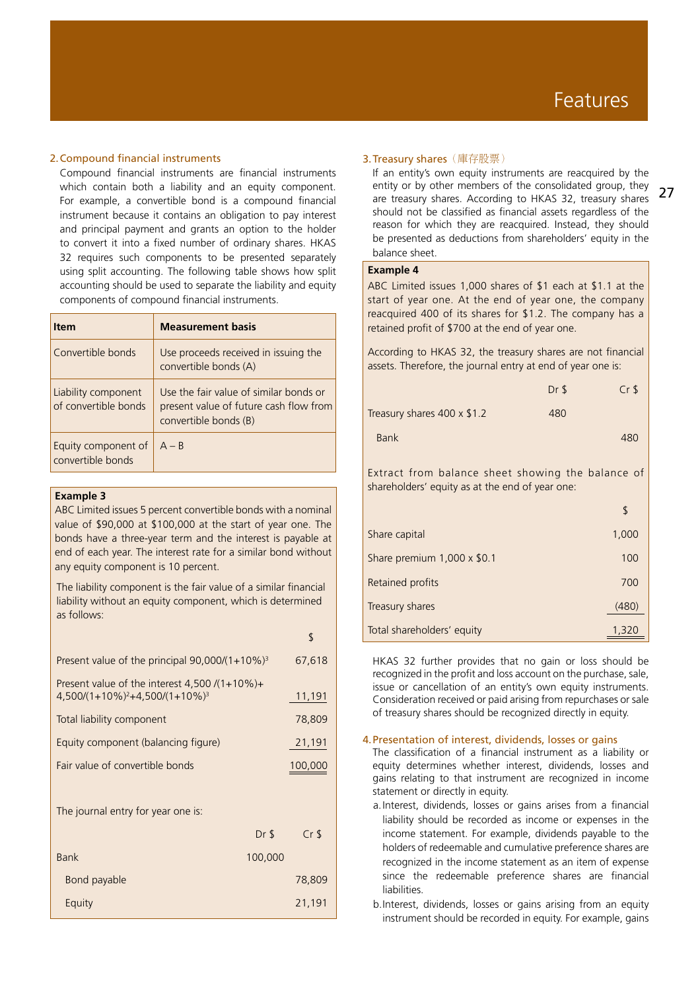## 2.Compound financial instruments

Compound financial instruments are financial instruments which contain both a liability and an equity component. For example, a convertible bond is a compound financial instrument because it contains an obligation to pay interest and principal payment and grants an option to the holder to convert it into a fixed number of ordinary shares. HKAS 32 requires such components to be presented separately using split accounting. The following table shows how split accounting should be used to separate the liability and equity components of compound financial instruments.

| ltem                                        | <b>Measurement basis</b>                                                                                  |
|---------------------------------------------|-----------------------------------------------------------------------------------------------------------|
| Convertible bonds                           | Use proceeds received in issuing the<br>convertible bonds (A)                                             |
| Liability component<br>of convertible bonds | Use the fair value of similar bonds or<br>present value of future cash flow from<br>convertible bonds (B) |
| Equity component of<br>convertible bonds    | $A - R$                                                                                                   |

## **Example 3**

ABC Limited issues 5 percent convertible bonds with a nominal value of \$90,000 at \$100,000 at the start of year one. The bonds have a three-year term and the interest is payable at end of each year. The interest rate for a similar bond without any equity component is 10 percent.

The liability component is the fair value of a similar financial liability without an equity component, which is determined as follows:

|                                                                                         | \$              |
|-----------------------------------------------------------------------------------------|-----------------|
| Present value of the principal $90,000/(1+10\%)^3$                                      | 67,618          |
| Present value of the interest 4,500 $/(1+10\%)+$<br>$4,500/(1+10\%)^2+4,500/(1+10\%)^3$ | 11,191          |
| Total liability component                                                               | 78,809          |
| Equity component (balancing figure)                                                     | 21,191          |
| Fair value of convertible bonds                                                         | 100,000         |
|                                                                                         |                 |
| The journal entry for year one is:                                                      |                 |
| $Dr$ \$                                                                                 | Cr <sub>5</sub> |
| <b>Bank</b><br>100,000                                                                  |                 |
| Bond payable                                                                            | 78,809          |
| Equity                                                                                  | 21,191          |

### **3. Treasury shares** (庫存股票)

If an entity's own equity instruments are reacquired by the entity or by other members of the consolidated group, they are treasury shares. According to HKAS 32, treasury shares should not be classified as financial assets regardless of the reason for which they are reacquired. Instead, they should be presented as deductions from shareholders' equity in the balance sheet.

#### **Example 4**

ABC Limited issues 1,000 shares of \$1 each at \$1.1 at the start of year one. At the end of year one, the company reacquired 400 of its shares for \$1.2. The company has a retained profit of \$700 at the end of year one.

According to HKAS 32, the treasury shares are not financial assets. Therefore, the journal entry at end of year one is:

|                             | Dr <sub>5</sub> | CrS |
|-----------------------------|-----------------|-----|
| Treasury shares 400 x \$1.2 | 480             |     |
| <b>Bank</b>                 |                 | 480 |

Extract from balance sheet showing the balance of shareholders' equity as at the end of year one:

| Share capital               | 1,000 |
|-----------------------------|-------|
| Share premium 1,000 x \$0.1 | 100   |
| Retained profits            | 700   |
| Treasury shares             | (480) |
| Total shareholders' equity  | 1,320 |

HKAS 32 further provides that no gain or loss should be recognized in the profit and loss account on the purchase, sale, issue or cancellation of an entity's own equity instruments. Consideration received or paid arising from repurchases or sale of treasury shares should be recognized directly in equity.

## 4.Presentation of interest, dividends, losses or gains

The classification of a financial instrument as a liability or equity determines whether interest, dividends, losses and gains relating to that instrument are recognized in income statement or directly in equity.

- a.Interest, dividends, losses or gains arises from a financial liability should be recorded as income or expenses in the income statement. For example, dividends payable to the holders of redeemable and cumulative preference shares are recognized in the income statement as an item of expense since the redeemable preference shares are financial liabilities.
- b.Interest, dividends, losses or gains arising from an equity instrument should be recorded in equity. For example, gains